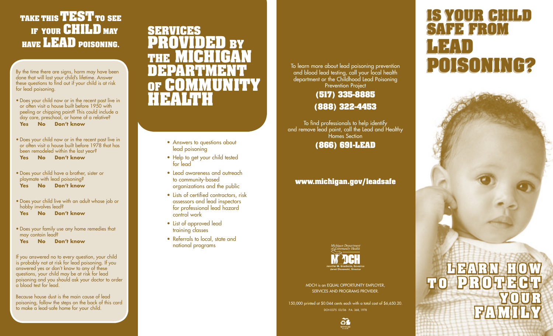## **TAKE THIS TEST TO SEE IF YOUR CHILD MAY HAVE LEAD POISONING.**

By the time there are signs, harm may have been done that will last your child's lifetime. Answer these questions to find out if your child is at risk for lead poisoning.

- Does your child now or in the recent past live in or often visit a house built before 1950 with peeling or chipping paint? This could include a day care, preschool, or home of a relative?  **Yes No Don't know**
- Does your child now or in the recent past live in or often visit a house built before 1978 that has been remodeled within the last year?  **Yes No Don't know**
- Does your child have a brother, sister or playmate with lead poisoning?  **Yes No Don't know**
- Does your child live with an adult whose job or hobby involves lead?  **Yes No Don't know**
- Does your family use any home remedies that may contain lead?

 **Yes No Don't know**

If you answered no to every question, your child is probably not at risk for lead poisoning. If you answered yes or don't know to any of these questions, your child may be at risk for lead poisoning and you should ask your doctor to order a blood test for lead.

Because house dust is the main cause of lead poisoning, follow the steps on the back of this card to make a lead-safe home for your child.

## **SERVICES PROVIDED BY THE MICHIGAN DEPARTMENT OF COMMUNITY HEALTH**

- Answers to questions about lead poisoning
- Help to get your child tested for lead
- Lead awareness and outreach to community-based organizations and the public
- Lists of certified contractors, risk assessors and lead inspectors for professional lead hazard control work
- List of approved lead training classes
- Referrals to local, state and national programs

To learn more about lead poisoning prevention and blood lead testing, call your local health department or the Childhood Lead Poisoning Prevention Project

#### **(517) 335-8885 (888) 322-4453**

To find professionals to help identify and remove lead paint, call the Lead and Healthy Homes Section **(866) 691-LEAD**

#### **www.michigan.gov/leadsafe**



MDCH is an EQUAL OPPORTUNITY EMPLOYER, SERVICES AND PROGRAMS PROVIDER.

150,000 printed at \$0.044 cents each with a total cost of \$6,650.20. DCH-0375 03/06 P.A. 368, 1978



## **IS YOUR CHILD IS YOUR CHILD SAFE FROM SAFE FROM LEAD POISONING? POISONING? LEAD**